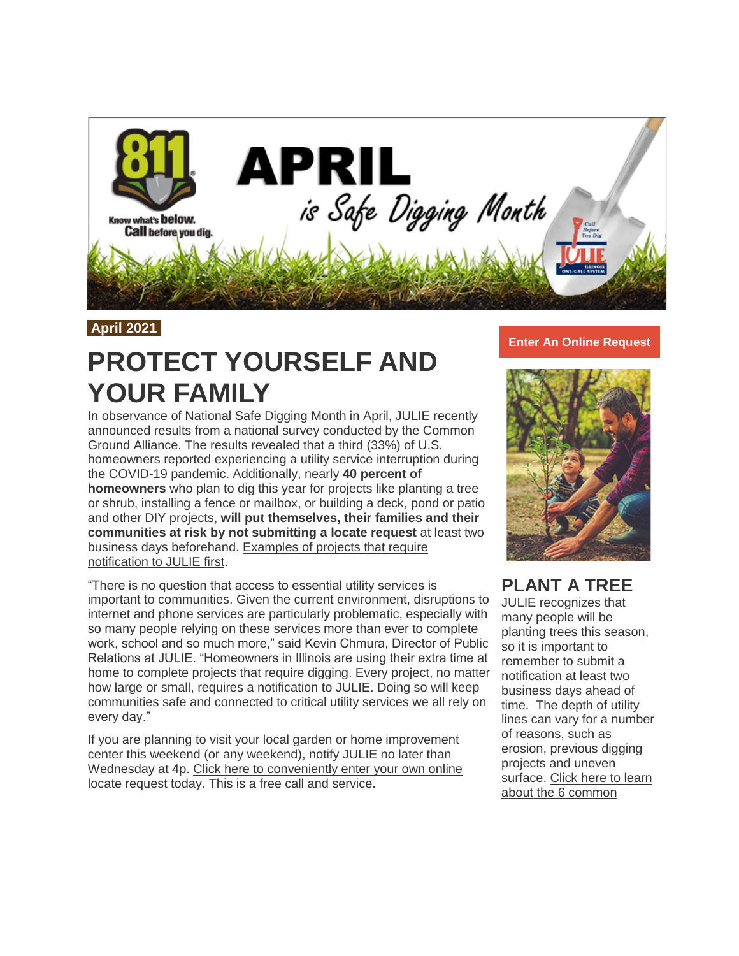

### **April 2021**

# **PROTECT YOURSELF AND YOUR FAMILY**

In observance of National Safe Digging Month in April, JULIE recently announced results from a national survey conducted by the Common Ground Alliance. The results revealed that a third (33%) of U.S. homeowners reported experiencing a utility service interruption during the COVID-19 pandemic. Additionally, nearly **40 percent of homeowners** who plan to dig this year for projects like planting a tree or shrub, installing a fence or mailbox, or building a deck, pond or patio and other DIY projects, **will put themselves, their families and their communities at risk by not submitting a locate request** at least two business days beforehand. [Examples of projects that require](https://t.e2ma.net/click/beq09d/b2car3/nffeqj)  [notification to JULIE first.](https://t.e2ma.net/click/beq09d/b2car3/nffeqj)

"There is no question that access to essential utility services is important to communities. Given the current environment, disruptions to internet and phone services are particularly problematic, especially with so many people relying on these services more than ever to complete work, school and so much more," said Kevin Chmura, Director of Public Relations at JULIE. "Homeowners in Illinois are using their extra time at home to complete projects that require digging. Every project, no matter how large or small, requires a notification to JULIE. Doing so will keep communities safe and connected to critical utility services we all rely on every day."

If you are planning to visit your local garden or home improvement center this weekend (or any weekend), notify JULIE no later than Wednesday at 4p. [Click here to conveniently enter your own online](https://t.e2ma.net/click/beq09d/b2car3/37feqj)  [locate request today.](https://t.e2ma.net/click/beq09d/b2car3/37feqj) This is a free call and service.

### **Enter An Online [Request](https://t.e2ma.net/click/beq09d/b2car3/j0geqj)**



### **PLANT A TREE**

JULIE recognizes that many people will be planting trees this season, so it is important to remember to submit a notification at least two business days ahead of time. The depth of utility lines can vary for a number of reasons, such as erosion, previous digging projects and uneven surface. [Click here to learn](https://t.e2ma.net/click/beq09d/b2car3/zsheqj)  [about the 6 common](https://t.e2ma.net/click/beq09d/b2car3/zsheqj)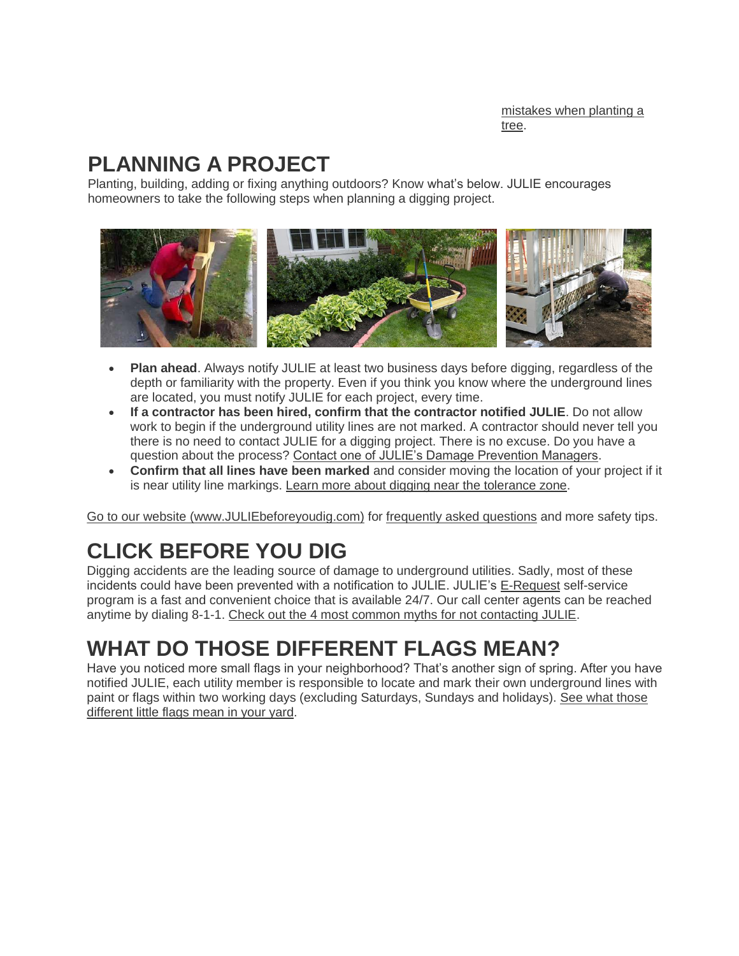[mistakes when planting a](https://t.e2ma.net/click/beq09d/b2car3/zsheqj)  [tree.](https://t.e2ma.net/click/beq09d/b2car3/zsheqj)

## **PLANNING A PROJECT**

Planting, building, adding or fixing anything outdoors? Know what's below. JULIE encourages homeowners to take the following steps when planning a digging project.



- **Plan ahead**. Always notify JULIE at least two business days before digging, regardless of the depth or familiarity with the property. Even if you think you know where the underground lines are located, you must notify JULIE for each project, every time.
- **If a contractor has been hired, confirm that the contractor notified JULIE**. Do not allow work to begin if the underground utility lines are not marked. A contractor should never tell you there is no need to contact JULIE for a digging project. There is no excuse. Do you have a question about the process? [Contact one of JULIE's Damage Prevention Managers.](https://t.e2ma.net/click/beq09d/b2car3/flieqj)
- **Confirm that all lines have been marked** and consider moving the location of your project if it is near utility line markings. [Learn more about digging near the tolerance zone.](https://t.e2ma.net/click/beq09d/b2car3/vdjeqj)

[Go to our website \(www.JULIEbeforeyoudig.com\)](https://t.e2ma.net/click/beq09d/b2car3/b6jeqj) for [frequently asked questions](https://t.e2ma.net/click/beq09d/b2car3/rykeqj) and more safety tips.

# **CLICK BEFORE YOU DIG**

Digging accidents are the leading source of damage to underground utilities. Sadly, most of these incidents could have been prevented with a notification to JULIE. JULIE's [E-Request](https://t.e2ma.net/click/beq09d/b2car3/7qleqj) self-service program is a fast and convenient choice that is available 24/7. Our call center agents can be reached anytime by dialing 8-1-1. [Check out the 4 most common myths for not contacting JULIE.](https://t.e2ma.net/click/beq09d/b2car3/njmeqj)

## **WHAT DO THOSE DIFFERENT FLAGS MEAN?**

Have you noticed more small flags in your neighborhood? That's another sign of spring. After you have notified JULIE, each utility member is responsible to locate and mark their own underground lines with paint or flags within two working days (excluding Saturdays, Sundays and holidays). [See what those](https://t.e2ma.net/click/beq09d/b2car3/3bneqj)  [different little flags mean in your yard.](https://t.e2ma.net/click/beq09d/b2car3/3bneqj)